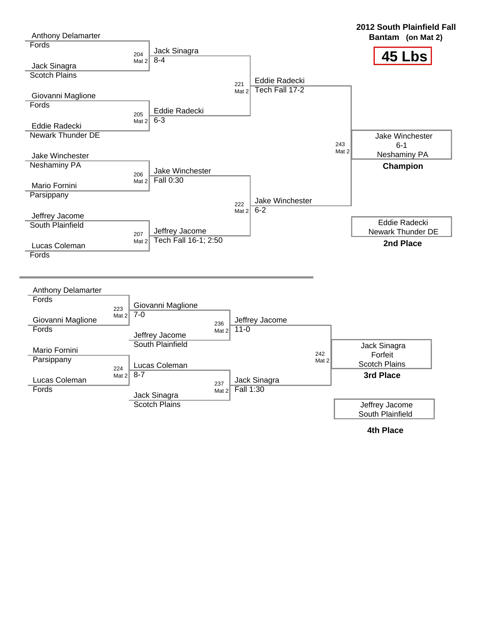

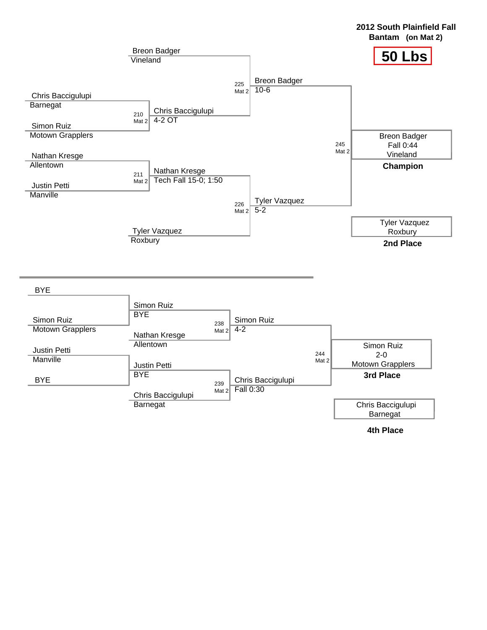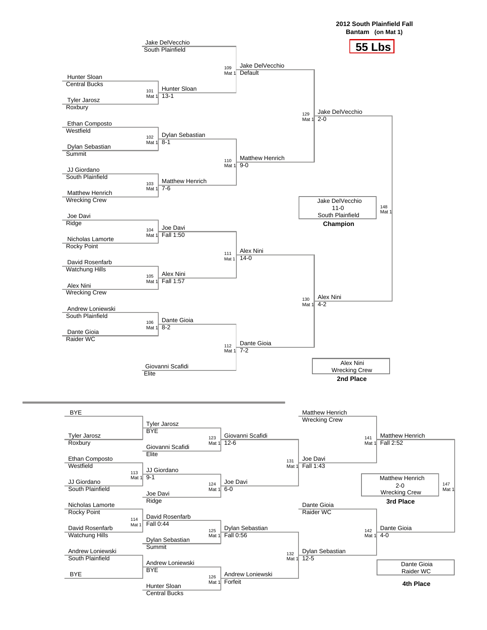

Central Bucks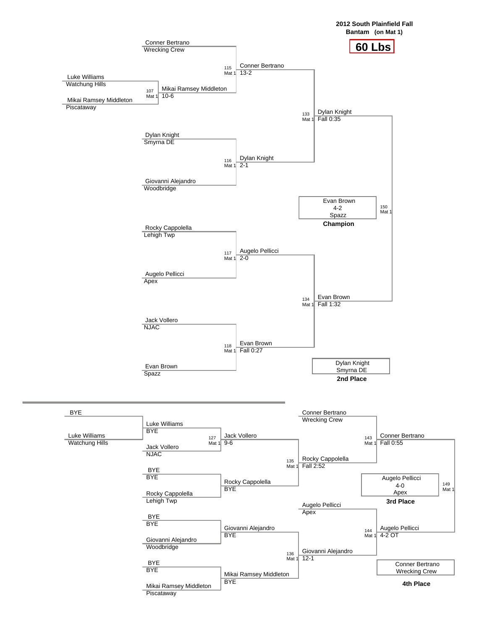

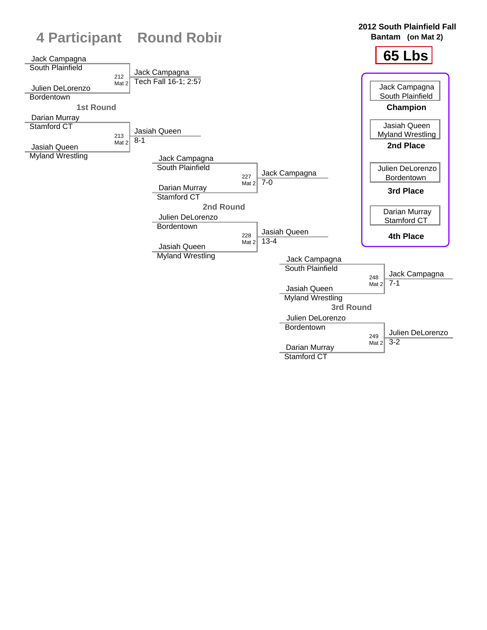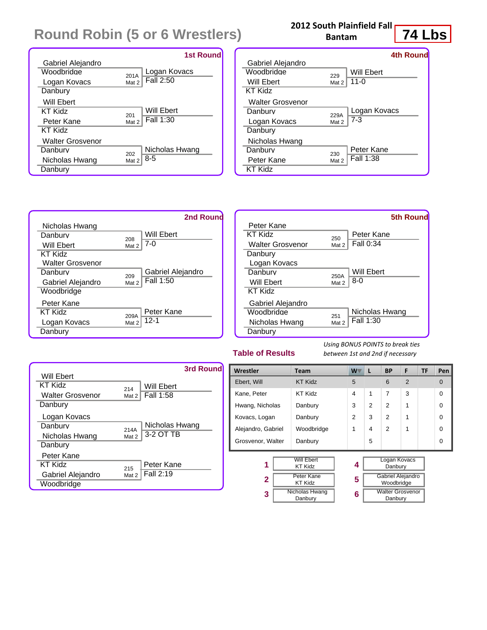# **Round Robin (5 or 6 Wrestlers)**

|                   | <b>1st Round</b>      |
|-------------------|-----------------------|
| Gabriel Alejandro |                       |
| Woodbridge        | Logan Kovacs<br>201A  |
| Logan Kovacs      | Fall 2:50<br>Mat 2    |
| Danbury           |                       |
| Will Ebert        |                       |
| KT Kidz           | Will Ebert<br>201     |
| Peter Kane        | Fall 1:30<br>Mat 2    |
| KT Kidz           |                       |
| Walter Grosvenor  |                       |
| Danbury           | Nicholas Hwang<br>202 |
| Nicholas Hwang    | $8 - 5$<br>Mat 2      |
| Danbury           |                       |

#### **2012 South Plainfield Fall Bantam**

# **74 Lbs**

|                   |       | 4th Round    |
|-------------------|-------|--------------|
| Gabriel Alejandro |       |              |
| Woodbridge        | 229   | Will Ebert   |
| Will Ebert        | Mat 2 | $11 - 0$     |
| KT Kidz           |       |              |
| Walter Grosvenor  |       |              |
| Danbury           | 229A  | Logan Kovacs |
| Logan Kovacs      | Mat 2 | $7-3$        |
| Danbury           |       |              |
| Nicholas Hwang    |       |              |
| Danburv           | 230   | Peter Kane   |
| Peter Kane        | Mat 2 | Fall 1:38    |
| KT Kidz           |       |              |
|                   |       |              |



|                         |       | <b>5th Round</b> |
|-------------------------|-------|------------------|
| Peter Kane              |       |                  |
| KT Kidz                 | 250   | Peter Kane       |
| <b>Walter Grosvenor</b> | Mat 2 | Fall 0:34        |
| Danbury                 |       |                  |
| Logan Kovacs            |       |                  |
| Danbury                 | 250A  | Will Ebert       |
| Will Ebert              | Mat 2 | $8 - 0$          |
| KT Kidz                 |       |                  |
| Gabriel Alejandro       |       |                  |
| Woodbridge              | 251   | Nicholas Hwang   |
| Nicholas Hwang          | Mat 2 | Fall 1:30        |
| Danbury                 |       |                  |

#### **Table of Results**

*Using BONUS POINTS to break ties between 1st and 2nd if necessary*

|                         |       | 3rd Round      |
|-------------------------|-------|----------------|
| Will Ebert              |       |                |
| KT Kidz                 | 214   | Will Ebert     |
| <b>Walter Grosvenor</b> | Mat 2 | Fall 1:58      |
| Danbury                 |       |                |
| Logan Kovacs            |       |                |
| Danbury                 | 214A  | Nicholas Hwang |
| Nicholas Hwang          | Mat 2 | 3-2 OT TB      |
| Danbury                 |       |                |
| Peter Kane              |       |                |
| KT Kidz                 | 215   | Peter Kane     |
| Gabriel Alejandro       | Mat 2 | Fall 2:19      |
| Woodbridge              |       |                |

| Wrestler           | <b>Team</b>                                                                                      | W ·                     | L | <b>BP</b>                                                                                               | F              | <b>TF</b> | Pen            |
|--------------------|--------------------------------------------------------------------------------------------------|-------------------------|---|---------------------------------------------------------------------------------------------------------|----------------|-----------|----------------|
| Ebert, Will        | <b>KT Kidz</b>                                                                                   | 5                       |   | 6                                                                                                       | $\mathfrak{p}$ |           | $\overline{0}$ |
| Kane, Peter        | KT Kidz                                                                                          | $\overline{\mathbf{A}}$ | 1 | $\overline{7}$                                                                                          | 3              |           | $\Omega$       |
| Hwang, Nicholas    | Danbury                                                                                          | 3                       | 2 | $\mathfrak{p}$                                                                                          | 1              |           | $\Omega$       |
| Kovacs, Logan      | Danbury                                                                                          | $\overline{2}$          | 3 | $\mathfrak{p}$                                                                                          | 1              |           | $\Omega$       |
| Alejandro, Gabriel | Woodbridge                                                                                       | 1                       | 4 | $\mathfrak{p}$                                                                                          | 1              |           | $\Omega$       |
| Grosvenor, Walter  | Danbury                                                                                          |                         | 5 |                                                                                                         |                |           | $\Omega$       |
| 1<br>2<br>3        | <b>Will Ebert</b><br><b>KT Kidz</b><br>Peter Kane<br><b>KT Kidz</b><br>Nicholas Hwang<br>Danbury | 4<br>5<br>6             |   | Logan Kovacs<br>Danbury<br><b>Gabriel Alejandro</b><br>Woodbridge<br><b>Walter Grosvenor</b><br>Danbury |                |           |                |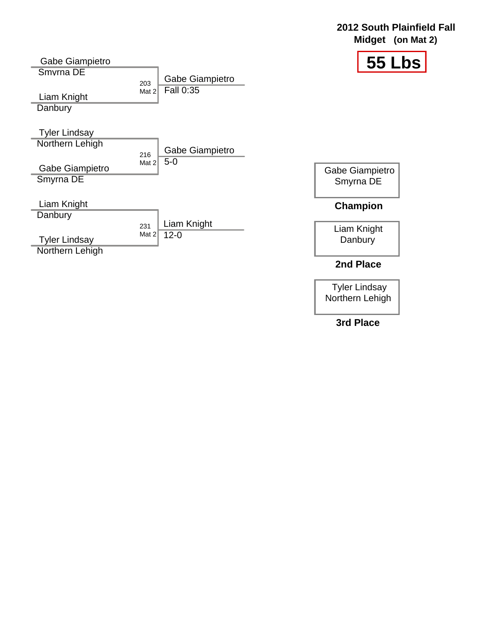#### **2012 South Plainfield Fall Midget (on Mat 2)**



| Gabe Giampietro                         |                |                 | 55 L                         |
|-----------------------------------------|----------------|-----------------|------------------------------|
| Smyrna DE                               |                | Gabe Giampietro |                              |
| Liam Knight<br>Danbury                  | 203<br>Mat 2   | Fall 0:35       |                              |
| <b>Tyler Lindsay</b>                    |                |                 |                              |
| Northern Lehigh                         |                | Gabe Giampietro |                              |
| Gabe Giampietro<br>Smyrna DE            | 216<br>Mat 2   | $5-0$           | Gabe Giampietro<br>Smyrna DE |
| Liam Knight                             |                |                 | <b>Champion</b>              |
| Danbury                                 |                | Liam Knight     |                              |
| <b>Tyler Lindsay</b><br>Northern Lehigh | 231<br>Mat $2$ | $12 - 0$        | Liam Knight<br>Danbury       |
|                                         |                |                 | 2nd Place                    |

Tyler Lindsay Northern Lehigh

**3rd Place**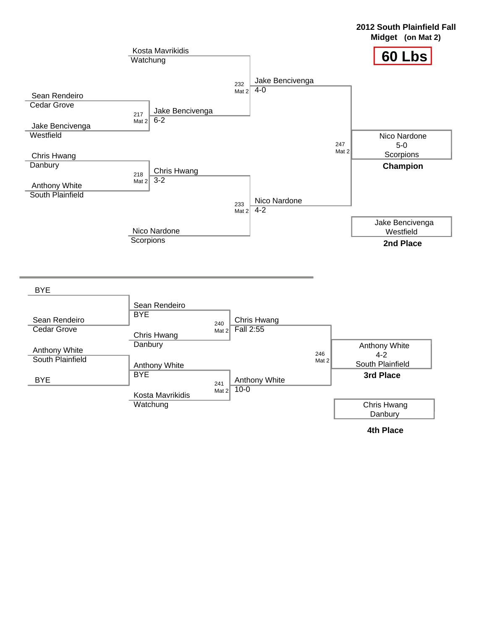



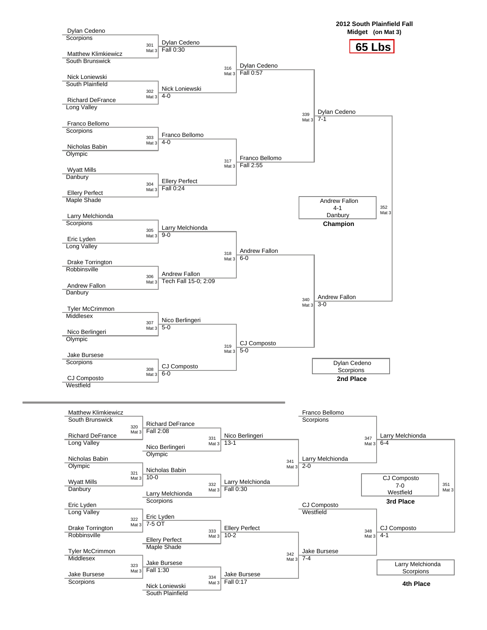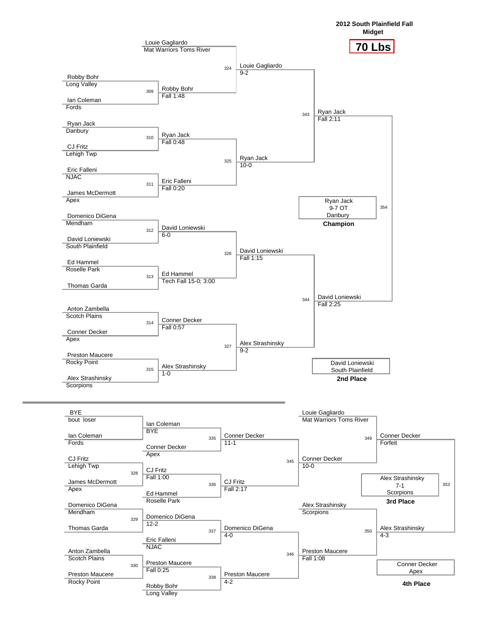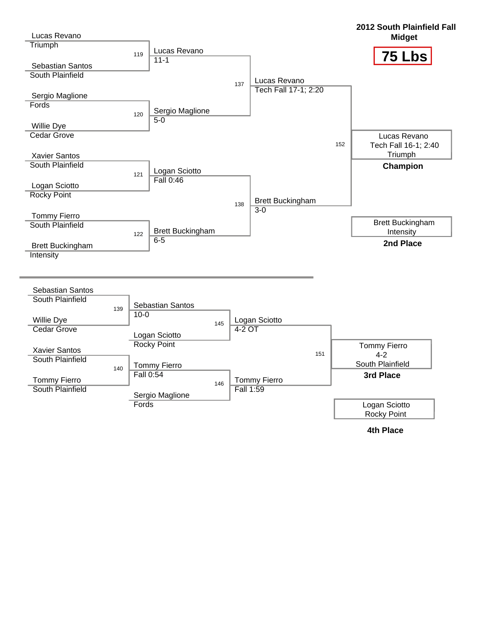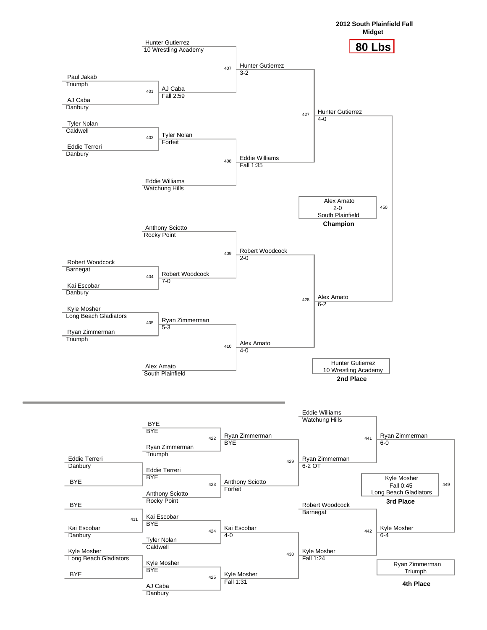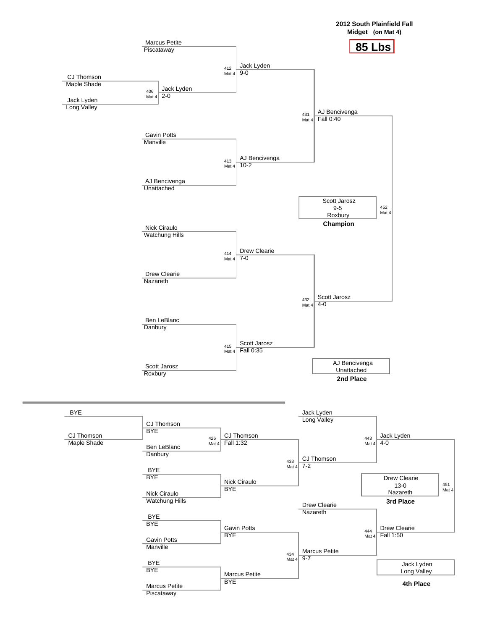



434 Mat 4

 $9 - 7$ 

Marcus Petite

Marcus Petite **BYE** 



Jack Lyden

451 Mat 4

Marcus Petite **Piscataway** 

 BYE **BYE**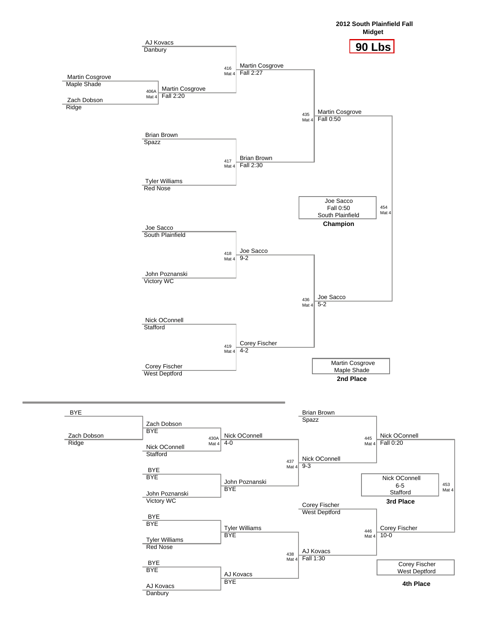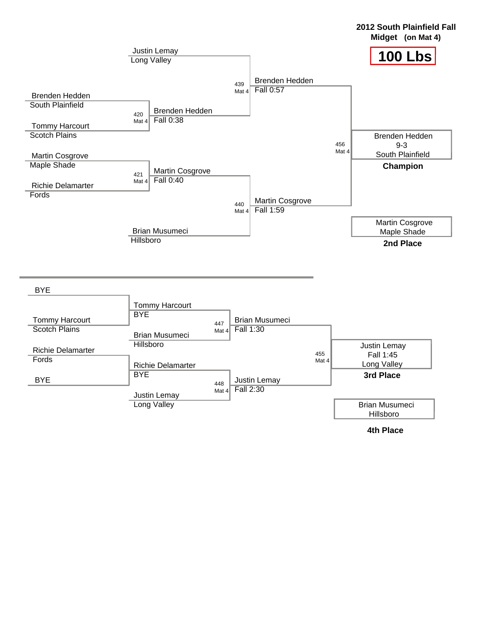



**2012 South Plainfield Fall**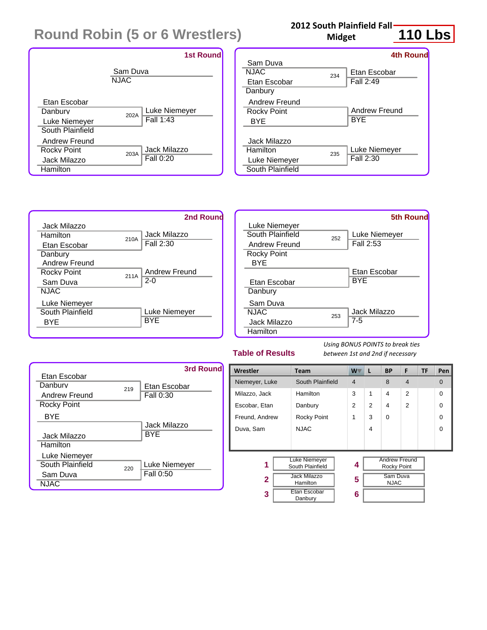# **Round Robin (5 or 6 Wrestlers)**



## **2012 South Plainfield Fall**

**Midget**

# **110 Lbs**

|                  |     | <b>4th Round</b> |
|------------------|-----|------------------|
| Sam Duva         |     |                  |
| NJAC             | 234 | Etan Escobar     |
| Etan Escobar     |     | Fall 2:49        |
| Danbury          |     |                  |
| Andrew Freund    |     |                  |
| Rocky Point      |     | Andrew Freund    |
| BYE              |     | BYE              |
|                  |     |                  |
| Jack Milazzo     |     |                  |
| Hamilton         | 235 | Luke Niemeyer    |
| Luke Niemeyer    |     | Fall 2:30        |
| South Plainfield |     |                  |





#### **Table of Results**

*Using BONUS POINTS to break ties between 1st and 2nd if necessary*

|                    |     | 3rd Round     |
|--------------------|-----|---------------|
| Etan Escobar       |     |               |
| Danhury            | 219 | Etan Escobar  |
| Andrew Freund      |     | Fall 0:30     |
| <b>Rocky Point</b> |     |               |
| BYE                |     |               |
|                    |     | Jack Milazzo  |
| Jack Milazzo       |     | BYE           |
| Hamilton           |     |               |
| Luke Niemeyer      |     |               |
| South Plainfield   | 220 | Luke Niemeyer |
| Sam Duva           |     | Fall 0:50     |
| <b>NJAC</b>        |     |               |

| Wrestler                                      | <b>Team</b>                     | W.             | L | <b>BP</b>                           | F              | <b>TF</b> | Pen      |
|-----------------------------------------------|---------------------------------|----------------|---|-------------------------------------|----------------|-----------|----------|
| Niemeyer, Luke                                | South Plainfield                | $\overline{4}$ |   | 8                                   | $\overline{4}$ |           | $\Omega$ |
| Milazzo, Jack                                 | Hamilton                        | 3              | 1 | 4                                   | $\overline{2}$ |           | $\Omega$ |
| Escobar, Etan                                 | Danbury                         | 2              | 2 | 4                                   | $\overline{2}$ |           | $\Omega$ |
| Freund, Andrew                                | Rocky Point                     | 1              | 3 | $\Omega$                            |                |           | $\Omega$ |
| Duva, Sam                                     | <b>NJAC</b>                     |                | 4 |                                     |                |           | $\Omega$ |
|                                               |                                 |                |   |                                     |                |           |          |
|                                               |                                 |                |   |                                     |                |           |          |
| <b>Luke Niemeyer</b><br>1<br>South Plainfield |                                 | 4              |   | <b>Andrew Freund</b><br>Rocky Point |                |           |          |
| $\mathbf{2}$                                  | <b>Jack Milazzo</b><br>Hamilton | 5              |   | Sam Duva<br><b>NJAC</b>             |                |           |          |
| 3                                             | Etan Escobar<br>Danbury         | 6              |   |                                     |                |           |          |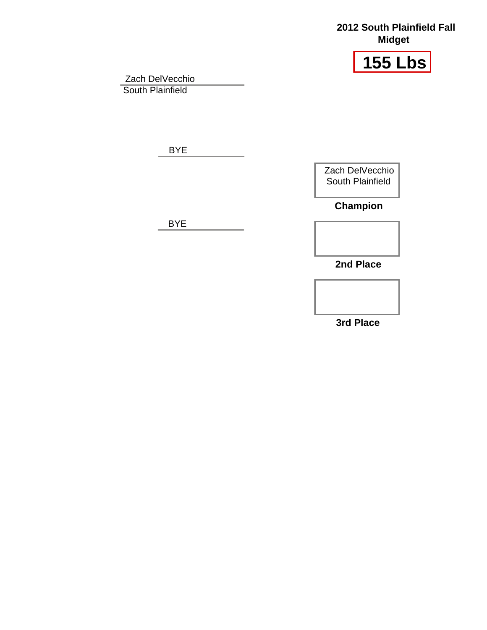#### **2012 South Plainfield Fall Midget**



Zach DelVecchio South Plainfield

BYE

Zach DelVecchio South Plainfield

**Champion**

BYE

**2nd Place**

**3rd Place**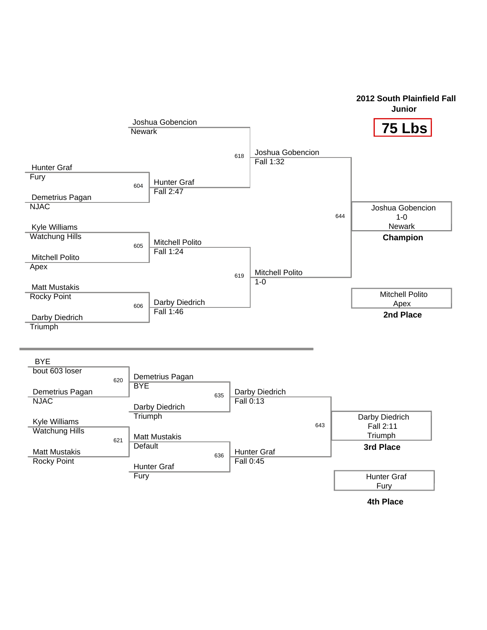

### **2012 South Plainfield Fall**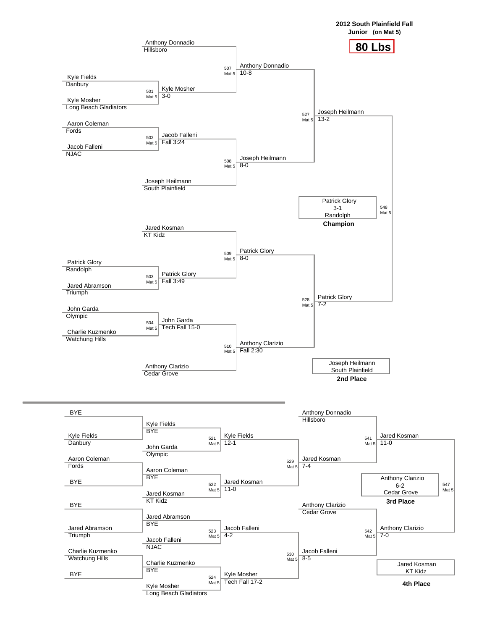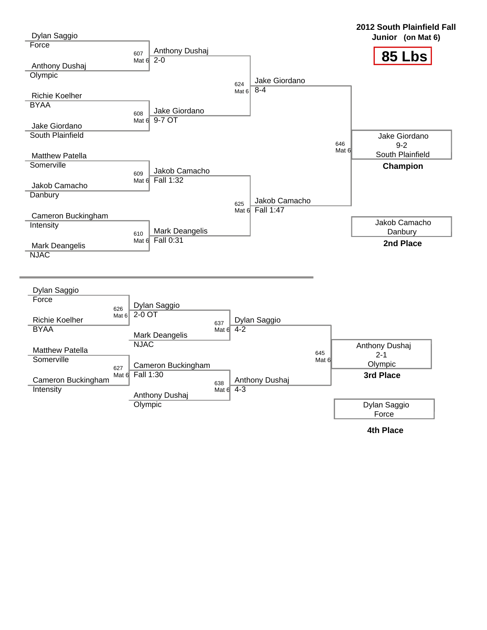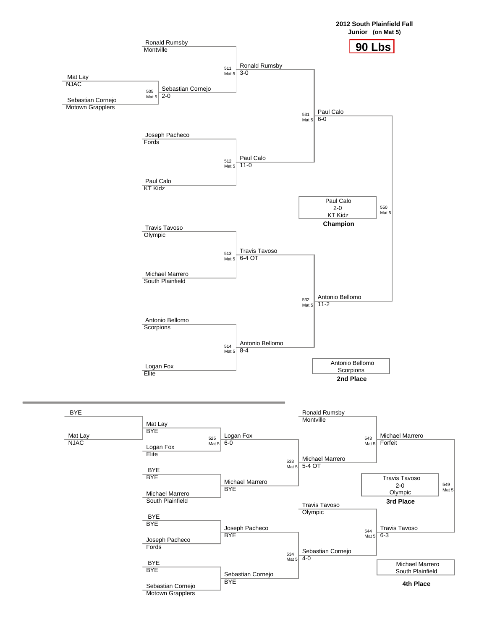

**Motown Grapplers**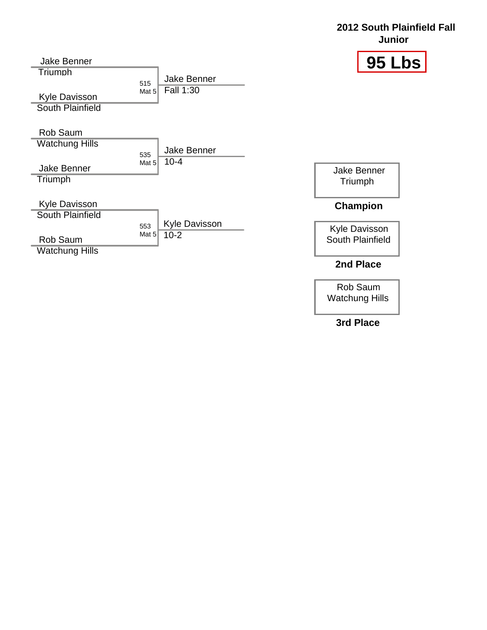#### **2012 South Plainfield Fall Junior**

| <b>Jake Benner</b>                       |                |                         | 95 LI                                    |
|------------------------------------------|----------------|-------------------------|------------------------------------------|
| Triumph                                  |                | <b>Jake Benner</b>      |                                          |
| Kyle Davisson<br><b>South Plainfield</b> | 515<br>Mat 5   | Fall 1:30               |                                          |
| Rob Saum                                 |                |                         |                                          |
| <b>Watchung Hills</b>                    |                | <b>Jake Benner</b>      |                                          |
| <b>Jake Benner</b><br>Triumph            | 535<br>Mat $5$ | $10 - 4$                | <b>Jake Benner</b><br>Triumph            |
| Kyle Davisson<br><b>South Plainfield</b> |                |                         | Champion                                 |
| Rob Saum                                 | 553<br>Mat $5$ | Kyle Davisson<br>$10-2$ | <b>Kyle Davisson</b><br>South Plainfield |
| <b>Watchung Hills</b>                    |                |                         | 2nd Place                                |

Rob Saum Watchung Hills

**3rd Place**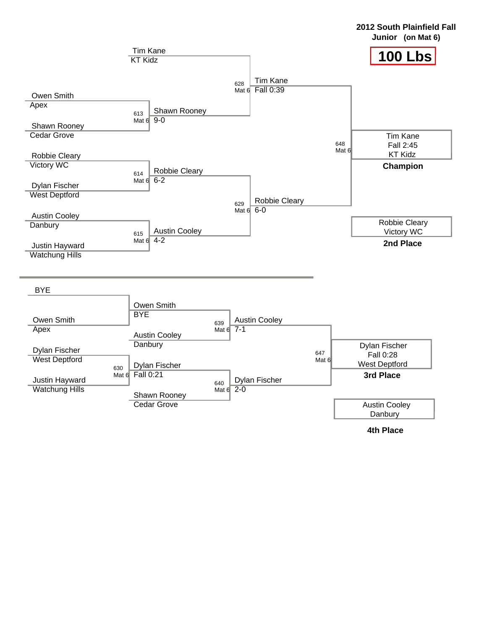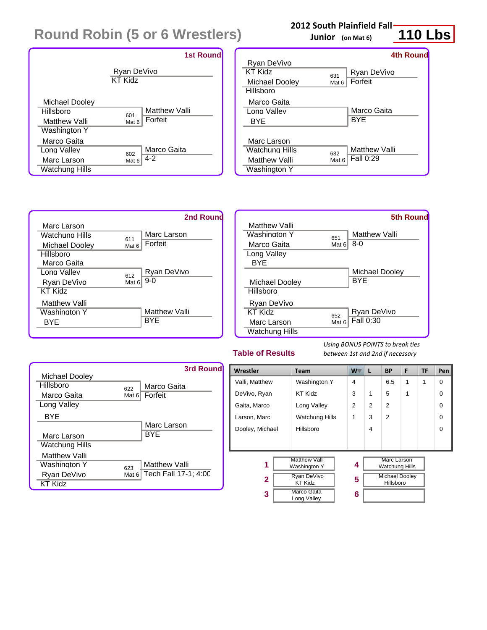# **Round Robin (5 or 6 Wrestlers)**



#### **2012 South Plainfield Fall**

**Junior (on Mat 6)**

#### Ryan DeVivo KT Kidz 631 Michael Dooley **Hillsboro** Marco Gaita Long Valley BYE Marc Larson Watchung Hills <sup>632</sup> **Matthew Valli** Washington Y Ryan DeVivo Mat 6 Forfeit Marco Gaita **BYE** Matthew Valli Fall 0:29 **4th Round**



|                |       | 5th Round      |
|----------------|-------|----------------|
| Matthew Valli  |       |                |
| Washington Y   | 651   | Matthew Valli  |
| Marco Gaita    | Mat 6 | 8-0            |
| Long Valley    |       |                |
| BYE            |       |                |
|                |       | Michael Dooley |
| Michael Dooley |       | BYE            |
| Hillsboro      |       |                |
| Ryan DeVivo    |       |                |
| KT Kidz        | 652   | Ryan DeVivo    |
| Marc Larson    | Mat 6 | Fall 0:30      |
| Watchung Hills |       |                |

#### **Table of Results**

*Using BONUS POINTS to break ties between 1st and 2nd if necessary*



| Wrestler                    | W<br>F<br><b>BP</b><br><b>Team</b><br>L |   | <b>TF</b>                          | Pen                                  |   |   |          |
|-----------------------------|-----------------------------------------|---|------------------------------------|--------------------------------------|---|---|----------|
| Valli, Matthew              | Washington Y                            | 4 |                                    | 6.5                                  | 1 | 1 | $\Omega$ |
| DeVivo, Ryan                | <b>KT Kidz</b>                          | 3 | 1                                  | 5                                    | 1 |   | $\Omega$ |
| Gaita, Marco<br>Long Valley |                                         | 2 | 2                                  | $\overline{2}$                       |   |   | $\Omega$ |
| Larson, Marc                | <b>Watchung Hills</b>                   | 1 | 3                                  | $\overline{2}$                       |   |   | $\Omega$ |
| Dooley, Michael             | Hillsboro                               |   | 4                                  |                                      |   |   | $\Omega$ |
|                             |                                         |   |                                    |                                      |   |   |          |
|                             |                                         |   |                                    |                                      |   |   |          |
| 1                           | <b>Matthew Valli</b><br>Washington Y    |   |                                    | Marc Larson<br><b>Watchung Hills</b> |   |   |          |
| 2                           | <b>Ryan DeVivo</b><br><b>KT Kidz</b>    | 5 | <b>Michael Dooley</b><br>Hillsboro |                                      |   |   |          |
| 3                           | <b>Marco Gaita</b><br>6<br>Long Valley  |   |                                    |                                      |   |   |          |

**110 Lbs**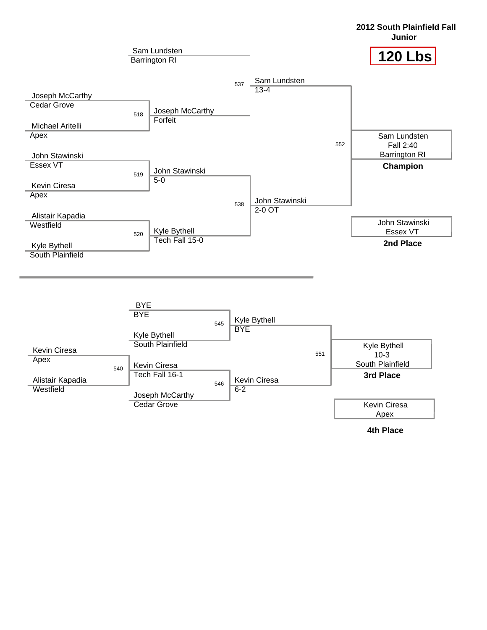

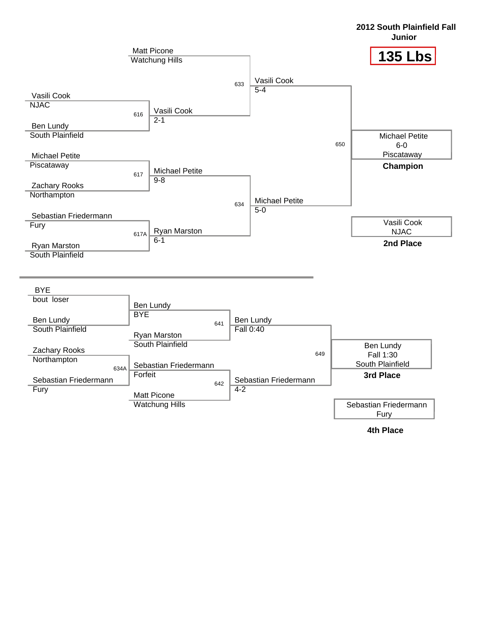

**2012 South Plainfield Fall**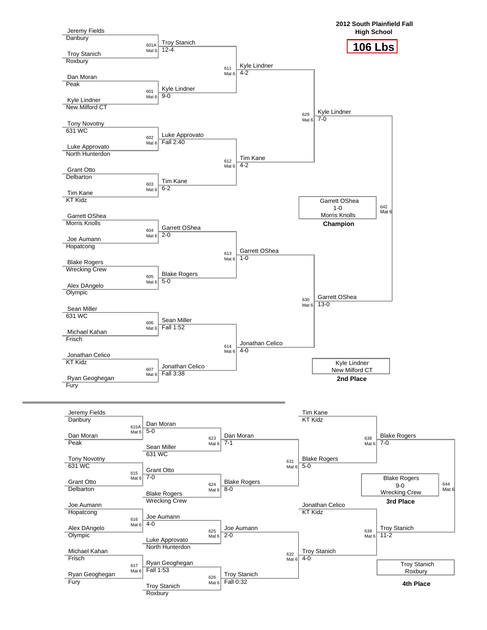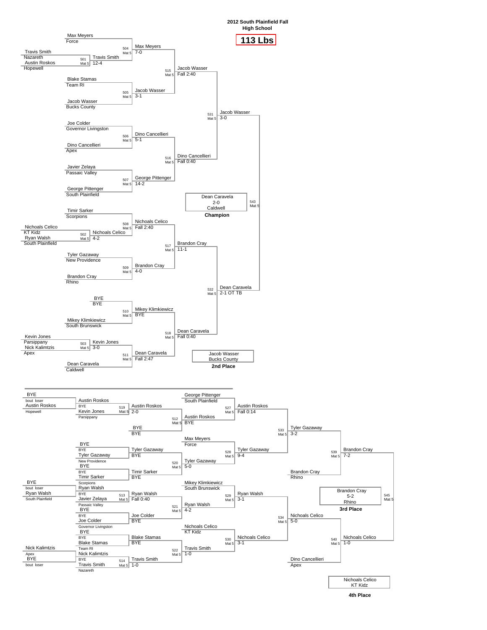



545 Mat 5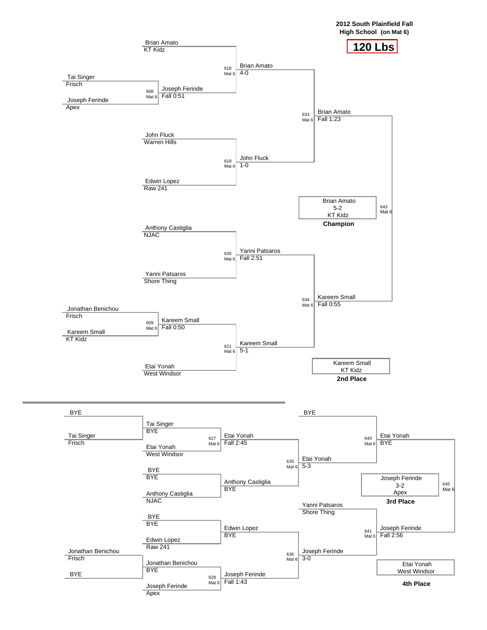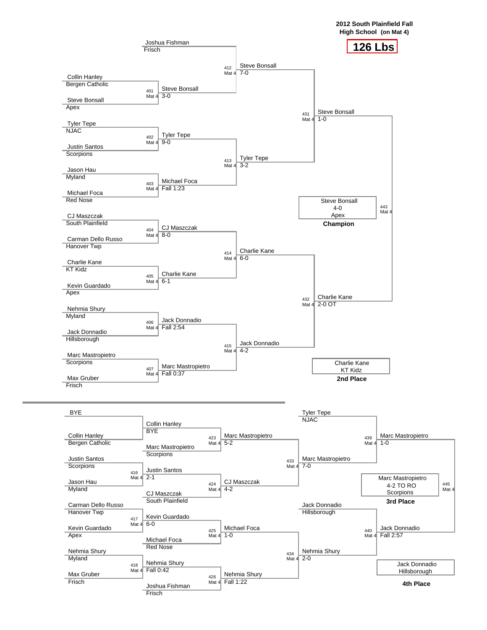

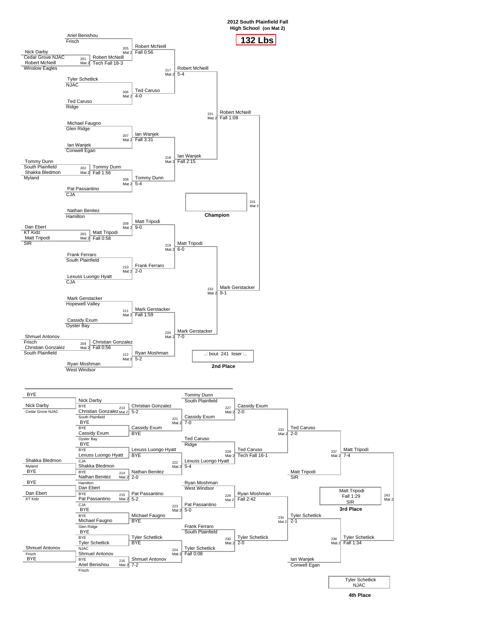

243 Mat 2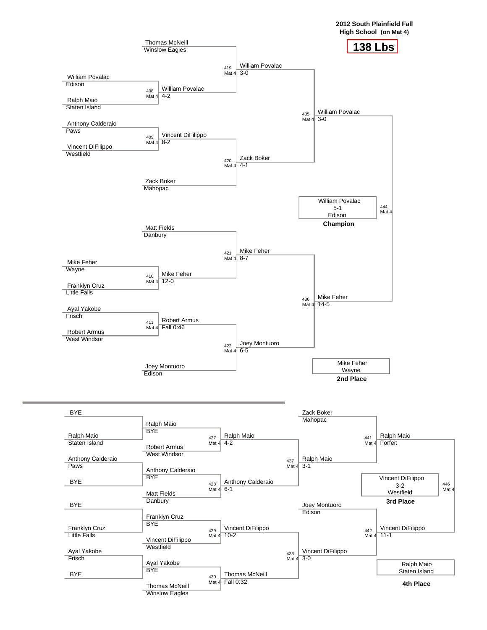



Thomas McNeill Winslow Eagles

**4th Place**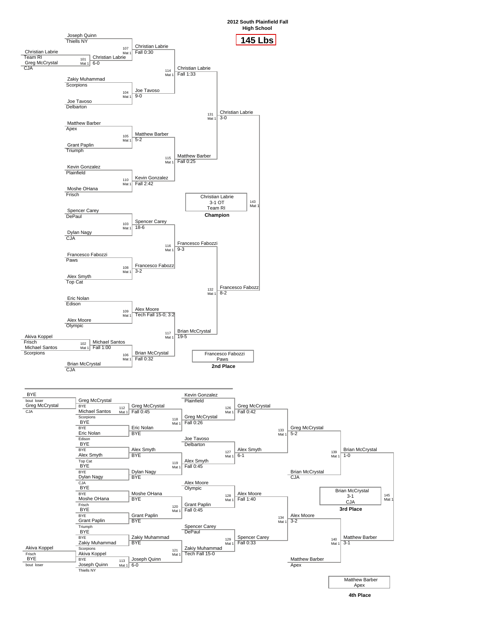



145 Mat 1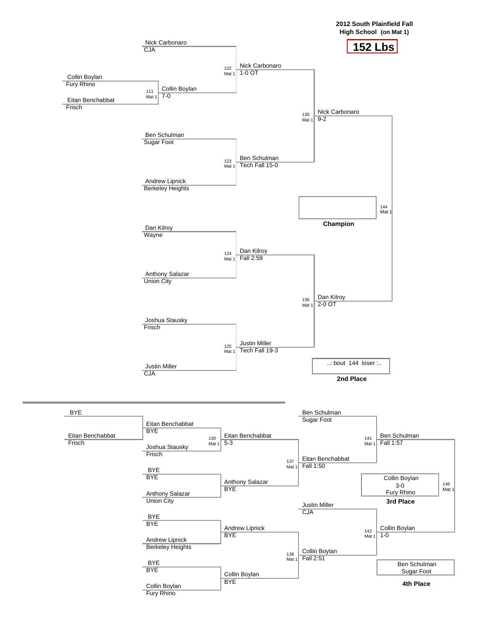

146



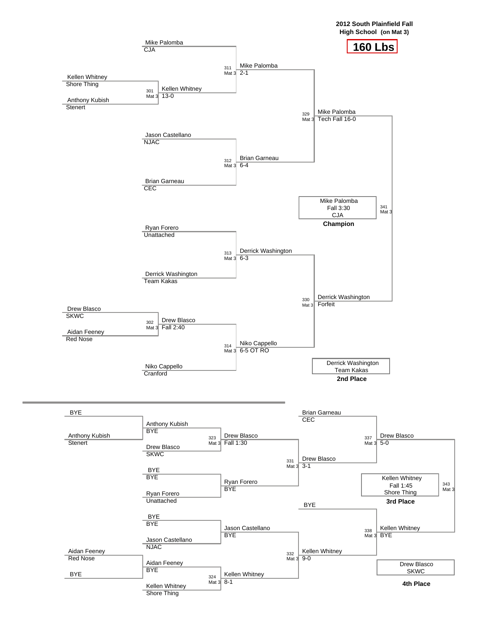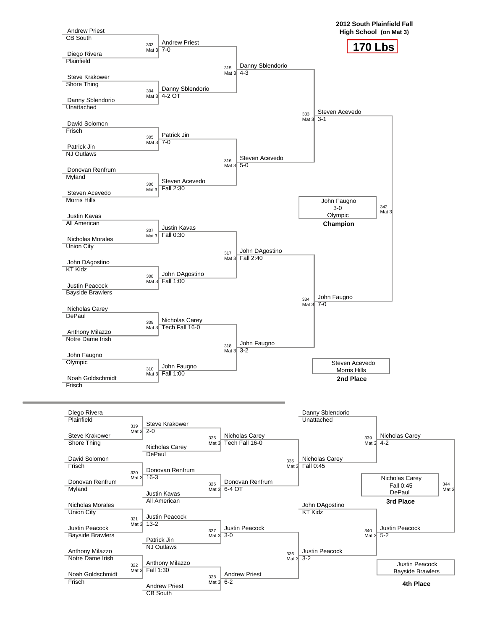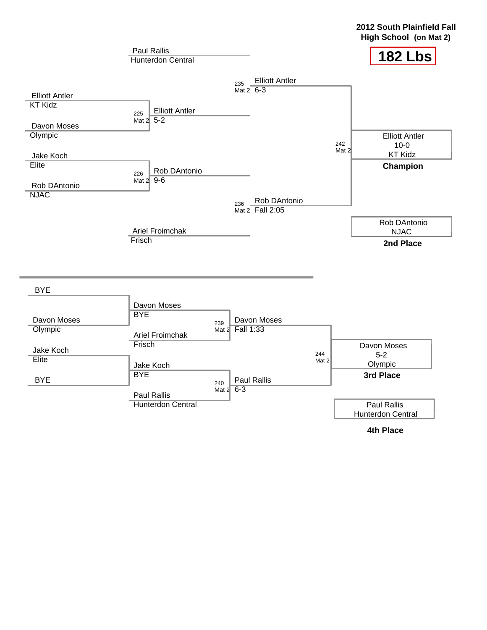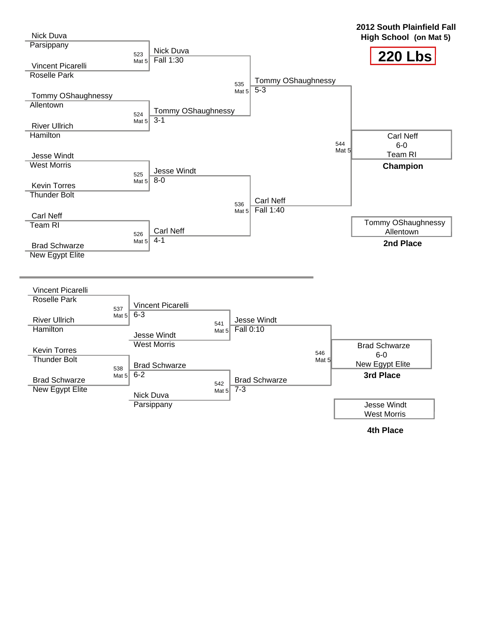